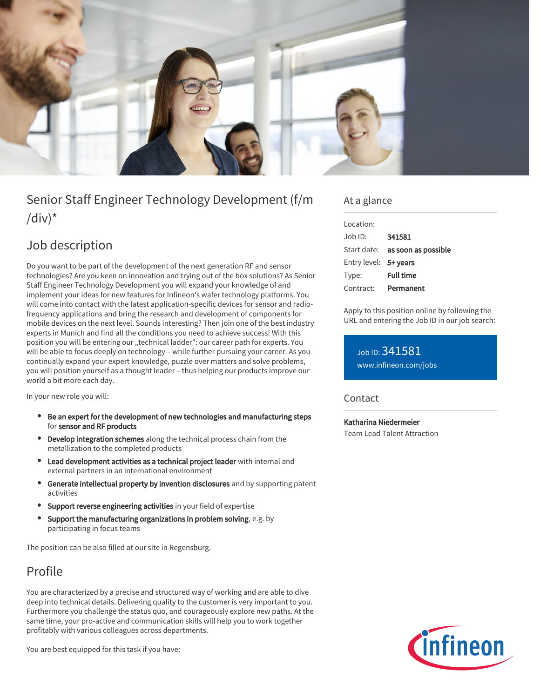

# Senior Staff Engineer Technology Development (f/m  $\frac{1}{d}$

## Job description

Do you want to be part of the development of the next generation RF and sensor technologies? Are you keen on innovation and trying out of the box solutions? As Senior Staff Engineer Technology Development you will expand your knowledge of and implement your ideas for new features for Infineon's wafer technology platforms. You will come into contact with the latest application-specific devices for sensor and radiofrequency applications and bring the research and development of components for mobile devices on the next level. Sounds interesting? Then join one of the best industry experts in Munich and find all the conditions you need to achieve success! With this position you will be entering our "technical ladder": our career path for experts. You will be able to focus deeply on technology – while further pursuing your career. As you continually expand your expert knowledge, puzzle over matters and solve problems, you will position yourself as a thought leader – thus helping our products improve our world a bit more each day.

In your new role you will:

- Be an expert for the development of new technologies and manufacturing steps for sensor and RF products
- **Develop integration schemes** along the technical process chain from the metallization to the completed products
- Lead development activities as a technical project leader with internal and external partners in an international environment
- Generate intellectual property by invention disclosures and by supporting patent activities
- Support reverse engineering activities in your field of expertise
- $\bullet$ Support the manufacturing organizations in problem solving, e.g. by participating in focus teams

The position can be also filled at our site in Regensburg.

# Profile

You are characterized by a precise and structured way of working and are able to dive deep into technical details. Delivering quality to the customer is very important to you. Furthermore you challenge the status quo, and courageously explore new paths. At the same time, your pro-active and communication skills will help you to work together profitably with various colleagues across departments.

You are best equipped for this task if you have:

### At a glance

| Location:             |                                        |
|-----------------------|----------------------------------------|
| Job ID:               | 341581                                 |
|                       | Start date: <b>as soon as possible</b> |
| Entry level: 5+ years |                                        |
| Type:                 | <b>Full time</b>                       |
| Contract:             | Permanent                              |

Apply to this position online by following the URL and entering the Job ID in our job search:

Job ID: 341581 [www.infineon.com/jobs](https://www.infineon.com/jobs)

### **Contact**

Katharina Niedermeier Team Lead Talent Attraction